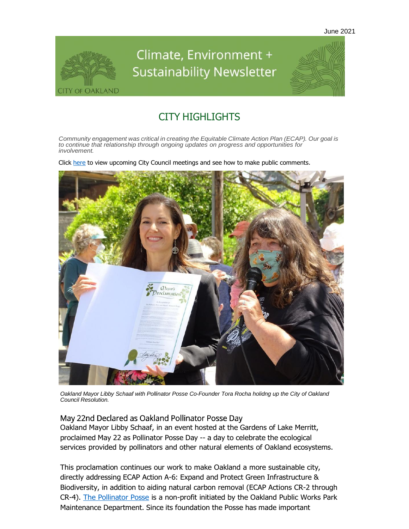

# Climate, Environment + **Sustainability Newsletter**



### CITY HIGHLIGHTS

*Community engagement was critical in creating the Equitable Climate Action Plan (ECAP). Our goal is to continue that relationship through ongoing updates on progress and opportunities for involvement.*

Click [here](https://oaklandca19202.lt.acemlna.com/Prod/link-tracker?notrack=1&redirectUrl=aHR0cHMlM0ElMkYlMkZvYWtsYW5kLmxlZ2lzdGFyLmNvbSUyRkNhbGVuZGFyLmFzcHg%3D&sig=8pXUV3GbzZn8MXZGL1VPJS82VQmZ32QLsxzWkrx45PoY&iat=1632344154&a=799335011&account=oaklandca19202%2Eactivehosted%2Ecom&email=LRRV6glqIfcVPcYsJBrMHi%2FZD%2BmsUFpJrc5fHf6IoVE%3D&s=bad97c655476f96a390a72c05a742011&i=841A834A11A13094) to view upcoming City Council meetings and see how to make public comments.



*Oakland Mayor Libby Schaaf with Pollinator Posse Co-Founder Tora Rocha holidng up the City of Oakland Council Resolution.*

May 22nd Declared as Oakland Pollinator Posse Day

Oakland Mayor Libby Schaaf, in an event hosted at the Gardens of Lake Merritt, proclaimed May 22 as Pollinator Posse Day -- a day to celebrate the ecological services provided by pollinators and other natural elements of Oakland ecosystems.

This proclamation continues our work to make Oakland a more sustainable city, directly addressing ECAP Action A-6: Expand and Protect Green Infrastructure & Biodiversity, in addition to aiding natural carbon removal (ECAP Actions CR-2 through CR-4). [The Pollinator Posse](https://oaklandca19202.lt.acemlna.com/Prod/link-tracker?notrack=1&redirectUrl=aHR0cHMlM0ElMkYlMkZwb2xsaW5hdG9ycG9zc2Uub3Jn&sig=HmP2JWwQJgMbKU9xewQurw3vJ57e5YDPVg3ddEsSoXeX&iat=1632344154&a=799335011&account=oaklandca19202%2Eactivehosted%2Ecom&email=LRRV6glqIfcVPcYsJBrMHi%2FZD%2BmsUFpJrc5fHf6IoVE%3D&s=bad97c655476f96a390a72c05a742011&i=841A834A11A13198) is a non-profit initiated by the Oakland Public Works Park Maintenance Department. Since its foundation the Posse has made important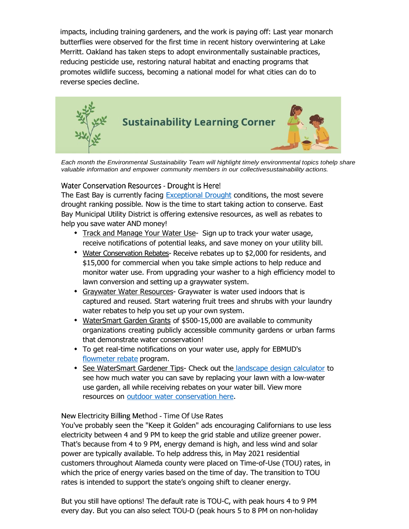impacts, including training gardeners, and the work is paying off: Last year monarch butterflies were observed for the first time in recent history overwintering at Lake Merritt. Oakland has taken steps to adopt environmentally sustainable practices, reducing pesticide use, restoring natural habitat and enacting programs that promotes wildlife success, becoming a national model for what cities can do to reverse species decline.



*Each month the Environmental Sustainability Team will highlight timely environmental topics tohelp share valuable information and empower community members in our collectivesustainability actions.*

Water Conservation Resources - Drought is Here!

The East Bay is currently facing **Exceptional Drought** conditions, the most severe drought ranking possible. Now is the time to start taking action to conserve. East Bay Municipal Utility District is offering extensive resources, as well as rebates to help you save water AND money!

- Track and Manage Your Water Use[-](https://oaklandca19202.lt.acemlna.com/Prod/link-tracker?notrack=1&redirectUrl=aHR0cHMlM0ElMkYlMkZ3d3cuZWJtdWQuY29tJTJGd2F0ZXIlMkZjb25zZXJ2YXRpb24tYW5kLXJlYmF0ZXMlMkZteS13YXRlci1yZXBvcnQtcHJvZ3JhbSUyRg%3D%3D&sig=EKRkCWCGSoBoFPZFxM8yegCb7xijyMwYdE6e28zxMkuu&iat=1632344154&a=799335011&account=oaklandca19202%2Eactivehosted%2Ecom&email=LRRV6glqIfcVPcYsJBrMHi%2FZD%2BmsUFpJrc5fHf6IoVE%3D&s=bad97c655476f96a390a72c05a742011&i=841A834A11A13213) Sign up to track your water usage, receive notifications of potential leaks, and save money on your utility bill.
- Water Conservation Rebates- Receive rebates up to \$2,000 for residents, and \$15,000 for commercial when you take simple actions to help reduce and monitor water use. From upgrading your washer to a high efficiency model to lawn conversion and setting up a graywater system.
- Graywater Water Resources- Graywater is water used indoors that is captured and reused. Start watering fruit trees and shrubs with your laundry water rebates to help you set up your own system.
- WaterSmart Garden Grants of \$500-15,000 are available to community organizations creating publicly accessible community gardens or urban farms that demonstrate water conservation!
- To get real-time notifications on your water use, apply for EBMUD's [flowmeter](https://oaklandca19202.lt.acemlna.com/Prod/link-tracker?notrack=1&redirectUrl=aHR0cHMlM0ElMkYlMkZ1cmxkZWZlbnNlLnByb29mcG9pbnQuY29tJTJGdjIlMkZ1cmwlM0Z1JTNEaHR0cHMtM0FfX2VibXVkLnVzMTUubGlzdC0yRG1hbmFnZS5jb21fdHJhY2tfY2xpY2stM0Z1LTNEOGIyYzU1NzQ0NGM3YmY2ZDg0MGY3ZDZiOS0yNmlkLTNEYmVjZDIyN2VhMi0yNmUtM0QxYzc4ZmE5MTBiJTI2ZCUzRER3TUZhUSUyNmMlM0Q2WmJvS2RKelI4blpPcXdCamhQbkN3JTI2ciUzRGR5Q3p1TER4QXM0SkkxVnFVWGZPcTJsU2hGWHJZZkpzT05HUE9TRGRtQ1klMjZtJTNENkJMSXRkT2J2LU1wLTduNUFlMUNvZFFOVk9Od2M3XzhJSGxOZXZnQ2phYyUyNnMlM0RURVBlQzRRMHlQWF9zRlQwc2IyZUFzRXBjSVgtVnNnMThSaUkzVUZRNTZJJTI2ZSUzRA%3D%3D&sig=HmNxkPge5wcTc99WDuXXiRY4jj9MhZM7F6nDHSZm8ui2&iat=1632344154&a=799335011&account=oaklandca19202%2Eactivehosted%2Ecom&email=LRRV6glqIfcVPcYsJBrMHi%2FZD%2BmsUFpJrc5fHf6IoVE%3D&s=bad97c655476f96a390a72c05a742011&i=841A834A11A13204) rebate program.
- \* See WaterSmart Gardener Tips- Check out the [landscape design calculator](https://oaklandca19202.lt.acemlna.com/Prod/link-tracker?notrack=1&redirectUrl=aHR0cHMlM0ElMkYlMkZ1cmxkZWZlbnNlLnByb29mcG9pbnQuY29tJTJGdjIlMkZ1cmwlM0Z1JTNEaHR0cHMtM0FfX2VibXVkLnVzMTUubGlzdC0yRG1hbmFnZS5jb21fdHJhY2tfY2xpY2stM0Z1LTNEOGIyYzU1NzQ0NGM3YmY2ZDg0MGY3ZDZiOS0yNmlkLTNEZjc4MjE4ZTEzYi0yNmUtM0QxYzc4ZmE5MTBiJTI2ZCUzRER3TUZhUSUyNmMlM0Q2WmJvS2RKelI4blpPcXdCamhQbkN3JTI2ciUzRGR5Q3p1TER4QXM0SkkxVnFVWGZPcTJsU2hGWHJZZkpzT05HUE9TRGRtQ1klMjZtJTNENkJMSXRkT2J2LU1wLTduNUFlMUNvZFFOVk9Od2M3XzhJSGxOZXZnQ2phYyUyNnMlM0QteEJGNEtSRDZKSzltNTVYdEZKR2JaRjMwdTU2S2p2SXVGR3QwS19IbmV3JTI2ZSUzRA%3D%3D&sig=D7WPQcvyYWVSeagvBcXQaqFHCG9BLEM6AzVGC2DVuMSH&iat=1632344154&a=799335011&account=oaklandca19202%2Eactivehosted%2Ecom&email=LRRV6glqIfcVPcYsJBrMHi%2FZD%2BmsUFpJrc5fHf6IoVE%3D&s=bad97c655476f96a390a72c05a742011&i=841A834A11A13206) to see how much water you can save by replacing your lawn with a low-water use garden, all while receiving rebates on your water bill. View more resources on outdoor water [conservation](https://oaklandca19202.lt.acemlna.com/Prod/link-tracker?notrack=1&redirectUrl=aHR0cHMlM0ElMkYlMkZ3d3cuZWJtdWQuY29tJTJGd2F0ZXIlMkZjb25zZXJ2YXRpb24tYW5kLXJlYmF0ZXMlMkZ3YXRlcnNtYXJ0LXRpcHMlMkZzYXZlLXdhdGVyLW91dGRvb3JzJTJG&sig=7gCYT39UDw4Dkx6UStNnfZSqSY2EhupWtBXUdKBhNU2w&iat=1632344154&a=799335011&account=oaklandca19202%2Eactivehosted%2Ecom&email=LRRV6glqIfcVPcYsJBrMHi%2FZD%2BmsUFpJrc5fHf6IoVE%3D&s=bad97c655476f96a390a72c05a742011&i=841A834A11A13207) here.

### New Electricity Billing Method - Time Of Use Rates

You've probably seen the "Keep it Golden" ads encouraging Californians to use less electricity between 4 and 9 PM to keep the grid stable and utilize greener power. That's because from 4 to 9 PM, energy demand is high, and less wind and solar power are typically available. To help address this, in May 2021 residential customers throughout Alameda county were placed on Time-of-Use (TOU) rates, in which the price of energy varies based on the time of day. The transition to TOU rates is intended to support the state's ongoing shift to cleaner energy.

But you still have options! The default rate is TOU-C, with peak hours 4 to 9 PM every day. But you can also select TOU-D (peak hours 5 to 8 PM on non-holiday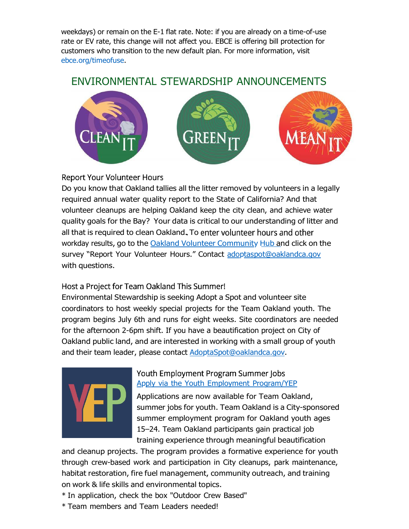weekdays) or remain on the E-1 flat rate. Note: if you are already on a time-of-use rate or EV rate, this change will not affect you. EBCE is offering bill protection for customers who transition to the new default plan. For more information, visit [ebce.org/timeofuse.](https://oaklandca19202.lt.acemlna.com/Prod/link-tracker?notrack=1&redirectUrl=aHR0cHMlM0ElMkYlMkZ1cmxkZWZlbnNlLnByb29mcG9pbnQuY29tJTJGdjIlMkZ1cmwlM0Z1JTNEaHR0cC0zQV9fZWJjZS5vcmdfdGltZW9mdXNlJTI2ZCUzRER3TUZhUSUyNmMlM0Q2WmJvS2RKelI4blpPcXdCamhQbkN3JTI2ciUzRGpOMlc3ckE4VjRKUjN6MkdGMnhpN0FUVmk2U3VfRmstVFd1b2RRMzduU1ElMjZtJTNEWkF3bVZNVl9oS2FyOVNJRS1QeE1TVkptcEMtQTRseXVUZDBVYjY3NjJhWSUyNnMlM0RMdm5YZnU4NmI0akxYbUVrM3lpTmhLOGk0QXdIbzJSYnFLUEZuWTRUbDNBJTI2ZSUzRA%3D%3D&sig=4qE6xKDdAe1M7eMFk6ve3XRjCuH34g2E1xvg9bmhcQrY&iat=1632344154&a=799335011&account=oaklandca19202%2Eactivehosted%2Ecom&email=LRRV6glqIfcVPcYsJBrMHi%2FZD%2BmsUFpJrc5fHf6IoVE%3D&s=bad97c655476f96a390a72c05a742011&i=841A834A11A13208)

### ENVIRONMENTAL STEWARDSHIP ANNOUNCEMENTS



### **Report Your Volunteer Hours**

Do you know that Oakland tallies all the litter removed by volunteers in a legally required annual water quality report to the State of California? And that volunteer cleanups are helping Oakland keep the city clean, and achieve water quality goals for the Bay? Your data is critical to our understanding of litter and all that is required to clean Oakland. To enter volunteer hours and other workday results, go to the Oakland Volunteer [Community](https://oaklandca19202.lt.acemlna.com/Prod/link-tracker?notrack=1&redirectUrl=aHR0cHMlM0ElMkYlMkZ1cmxkZWZlbnNlLnByb29mcG9pbnQuY29tJTJGdjIlMkZ1cmwlM0Z1JTNEaHR0cHMtM0FfX29ha2xhbmQtMkR2b2x1bnRlZXItMkRjb21tdW5pdHktMkRvYWtnaXMuaHViLmFyY2dpcy5jb21fcGFnZXNfcmVwb3J0LTJEeW91ci0yRHZvbHVudGVlci0yRHJlc3VsdHMlMjZkJTNERHdNRmFRJTI2YyUzRDZaYm9LZEp6UjhuWk9xd0JqaFBuQ3clMjZyJTNERmJBam1BY2M4d3lnRUZqa0FORTAxTG81WklIak0wS2g4RGdJMkJxTi04dyUyNm0lM0RZeTE0X1pRa1VOdmhFeXJoTE9qcFpZTXp5VlJRVC1fNUF3WnJ2RW1pN3ZjJTI2cyUzRHFVa0x0UW1KUHJlSzBSZWxGRG9SS1MtZ25hNkRQRzJaRnUzV3FCUUhsUDAlMjZlJTNE&sig=2zTb89g8LHFYvhwiF8Fcdcw9nmp7L8dyFpZkX2UT6JNd&iat=1632344154&a=799335011&account=oaklandca19202%2Eactivehosted%2Ecom&email=LRRV6glqIfcVPcYsJBrMHi%2FZD%2BmsUFpJrc5fHf6IoVE%3D&s=bad97c655476f96a390a72c05a742011&i=841A834A11A13140) Hub and click on the survey "Report Your Volunteer Hours." Contact [adoptaspot@oaklandca.gov](mailto:adoptaspot@oaklandca.gov) with questions.

### Host a Project for Team Oakland This Summer!

Environmental Stewardship is seeking Adopt a Spot and volunteer site coordinators to host weekly special projects for the Team Oakland youth. The program begins July 6th and runs for eight weeks. Site coordinators are needed for the afternoon 2-6pm shift. If you have a beautification project on City of Oakland public land, and are interested in working with a small group of youth and their team leader, please contact **AdoptaSpot@oaklandca.gov**.



### Youth Employment Program Summer Jobs Apply via the Youth Employment [Program/YEP](https://oaklandca19202.lt.acemlna.com/Prod/link-tracker?notrack=1&redirectUrl=aHR0cHMlM0ElMkYlMkZ1cmxkZWZlbnNlLnByb29mcG9pbnQuY29tJTJGdjIlMkZ1cmwlM0Z1JTNEaHR0cHMtM0FfX3d3dy55ZXAub3JnX2hvdy0yRHlvdS0yRGpvaW5feW91dGgtMkRzdW1tZXItMkRhcHBsaWNhdGlvbl8lMjZkJTNERHdNRmFRJTI2YyUzRDZaYm9LZEp6UjhuWk9xd0JqaFBuQ3clMjZyJTNEak4yVzdyQThWNEpSM3oyR0YyeGk3QVRWaTZTdV9Gay1UV3VvZFEzN25TUSUyNm0lM0RrdVNHMnNFMzhLdjNzME15NkloSklPRnlBejlRY2xoT09xQmFSbkxITHRrJTI2cyUzRHg4SllvRHZ5dzhsUEJjdXlVSUs2TDYxM0NZUkZYSnB0d2FzanFhYk1CMlUlMjZlJTNE&sig=99mTF66W6ptaJ5Nc6eJGp4FNPbZRKKR5JufGdtsAuqnw&iat=1632344154&a=799335011&account=oaklandca19202%2Eactivehosted%2Ecom&email=LRRV6glqIfcVPcYsJBrMHi%2FZD%2BmsUFpJrc5fHf6IoVE%3D&s=bad97c655476f96a390a72c05a742011&i=841A834A11A13141)

Applications are now available for Team Oakland, summer jobs for youth. Team Oakland is a City-sponsored summer employment program for Oakland youth ages 15–24. Team Oakland participants gain practical job training experience through meaningful beautification

and cleanup projects. The program provides a formative experience for youth through crew-based work and participation in City cleanups, park maintenance, habitat restoration, fire fuel management, community outreach, and training on work & life skills and environmental topics.

- \* In application, check the box "Outdoor Crew Based"
- \* Team members and Team Leaders needed!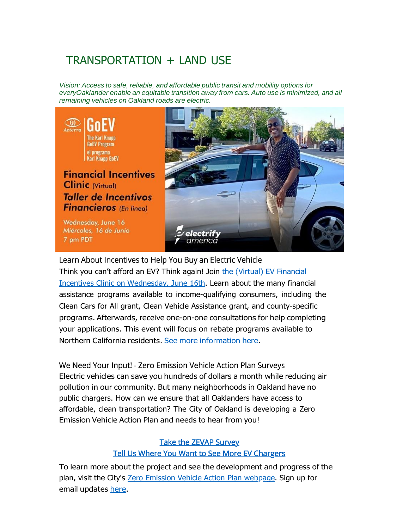# TRANSPORTATION + LAND USE

*Vision: Access to safe, reliable, and affordable public transit and mobility options for everyOaklander enable an equitable transition away from cars. Auto use is minimized, and all remaining vehicles on Oakland roads are electric.*



Learn About Incentives to Help You Buy an Electric Vehicle [Think you can't afford an EV? Think again! Join](https://oaklandca19202.lt.acemlna.com/Prod/link-tracker?notrack=1&redirectUrl=aHR0cHMlM0ElMkYlMkZ3d3cuZXZlbnRicml0ZS5jb20lMkZlJTJGZXYtZmluYW5jaWFsLWluY2VudGl2ZXMtY2xpbmljdGFsbGVyLWRlLWluY2VudGl2b3MtZmluYW5jaWVyb3MtcGFyYS1ldnMtdGlja2V0cy0xNTIwNTYxNjkwOTUlM0ZhZmYlM0RrMmNhbA%3D%3D&sig=2rzVLqwKTHwrNUmUkGuhTU7Gnkk1wjLkWkvLh4H6dcHJ&iat=1632344154&a=799335011&account=oaklandca19202%2Eactivehosted%2Ecom&email=LRRV6glqIfcVPcYsJBrMHi%2FZD%2BmsUFpJrc5fHf6IoVE%3D&s=bad97c655476f96a390a72c05a742011&i=841A834A11A13261) the (Virtual) EV Financial Incentives Clinic on [Wednesday,](https://oaklandca19202.lt.acemlna.com/Prod/link-tracker?notrack=1&redirectUrl=aHR0cHMlM0ElMkYlMkZ3d3cuZXZlbnRicml0ZS5jb20lMkZlJTJGZXYtZmluYW5jaWFsLWluY2VudGl2ZXMtY2xpbmljdGFsbGVyLWRlLWluY2VudGl2b3MtZmluYW5jaWVyb3MtcGFyYS1ldnMtdGlja2V0cy0xNTIwNTYxNjkwOTUlM0ZhZmYlM0RrMmNhbA%3D%3D&sig=2rzVLqwKTHwrNUmUkGuhTU7Gnkk1wjLkWkvLh4H6dcHJ&iat=1632344154&a=799335011&account=oaklandca19202%2Eactivehosted%2Ecom&email=LRRV6glqIfcVPcYsJBrMHi%2FZD%2BmsUFpJrc5fHf6IoVE%3D&s=bad97c655476f96a390a72c05a742011&i=841A834A11A13261) June 16th. Learn about the many financial assistance programs available to income-qualifying consumers, including the Clean Cars for All grant, Clean Vehicle Assistance grant, and county-specific programs. Afterwards, receive one-on-one consultations for help completing your applications. This event will focus on rebate programs available to Northern California residents. See more [information](https://oaklandca19202.lt.acemlna.com/Prod/link-tracker?notrack=1&redirectUrl=aHR0cHMlM0ElMkYlMkZ3d3cuZXZlbnRicml0ZS5jb20lMkZlJTJGZXYtZmluYW5jaWFsLWluY2VudGl2ZXMtY2xpbmljdGFsbGVyLWRlLWluY2VudGl2b3MtZmluYW5jaWVyb3MtcGFyYS1ldnMtdGlja2V0cy0xNTIwNTYxNjkwOTUlM0ZhZmYlM0RrMmNhbA%3D%3D&sig=2rzVLqwKTHwrNUmUkGuhTU7Gnkk1wjLkWkvLh4H6dcHJ&iat=1632344154&a=799335011&account=oaklandca19202%2Eactivehosted%2Ecom&email=LRRV6glqIfcVPcYsJBrMHi%2FZD%2BmsUFpJrc5fHf6IoVE%3D&s=bad97c655476f96a390a72c05a742011&i=841A834A11A13261) here.

We Need Your Input! - Zero Emission Vehicle Action Plan Surveys Electric vehicles can save you hundreds of dollars a month while reducing air pollution in our community. But many neighborhoods in Oakland have no public chargers. How can we ensure that all Oaklanders have access to affordable, clean transportation? The City of Oakland is developing a Zero Emission Vehicle Action Plan and needs to hear from you!

### **Take the ZEVAP Survey Tell Us Where You Want to See More EV Chargers**

To learn more about the project and see the development and progress of the plan, visit the City's [Zero Emission Vehicle Action](https://oaklandca19202.lt.acemlna.com/Prod/link-tracker?notrack=1&redirectUrl=aHR0cHMlM0ElMkYlMkZ3d3cub2FrbGFuZGNhLmdvdiUyRnByb2plY3RzJTJGemVyby1lbWlzc2lvbi12ZWhpY2xlLWFjdGlvbi1wbGFu&sig=5Tu3nATcR88F7QYTTUMFZTWUdqaeb1eHJwX1abiR5d9c&iat=1632344154&a=799335011&account=oaklandca19202%2Eactivehosted%2Ecom&email=LRRV6glqIfcVPcYsJBrMHi%2FZD%2BmsUFpJrc5fHf6IoVE%3D&s=bad97c655476f96a390a72c05a742011&i=841A834A11A13096) Plan webpage. Sign up for email updates [here.](https://oaklandca19202.lt.acemlna.com/Prod/link-tracker?notrack=1&redirectUrl=aHR0cHMlM0ElMkYlMkZ1cmxkZWZlbnNlLnByb29mcG9pbnQuY29tJTJGdjIlMkZ1cmwlM0Z1JTNEaHR0cHMtM0FfX29ha2xhbmRjYS5mb3Jtc3RhY2suY29tX2Zvcm1zX3pldi01RmFjdGlvbi01RnBsYW4tNUZlbWFpbC01Rmxpc3QlMjZkJTNERHdNRmFRJTI2YyUzRDZaYm9LZEp6UjhuWk9xd0JqaFBuQ3clMjZyJTNEZHlDenVMRHhBczRKSTFWcVVYZk9xOTN4Ujl1bkU2amQ5UHB3aUoxYU9wOCUyNm0lM0Rpa1FEMHRKUjRtYXlWcTNwM0RIZ1FsYmpWQ2NHOUh2d0pfTlhha0ctQWhrJTI2cyUzRFhxa201ZnRpTUliZy1aVGl2U2p1azlxaVpmVTFEOXR3ZDlUX2d4TEl4cTglMjZlJTNE&sig=HvU3HMDnU9H8utMe623TFFpdUmLjpNj78YhxLTWKXy2k&iat=1632344154&a=799335011&account=oaklandca19202%2Eactivehosted%2Ecom&email=LRRV6glqIfcVPcYsJBrMHi%2FZD%2BmsUFpJrc5fHf6IoVE%3D&s=bad97c655476f96a390a72c05a742011&i=841A834A11A13264)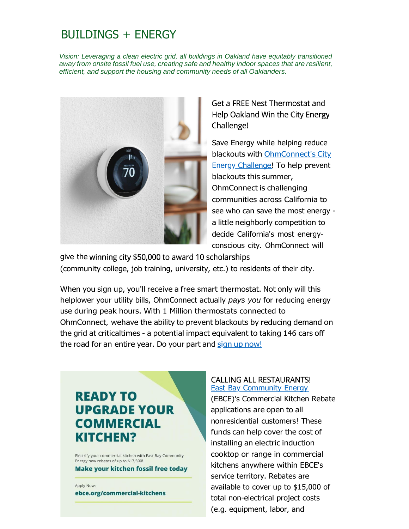### **BUILDINGS + ENERGY**

*Vision: Leveraging a clean electric grid, all buildings in Oakland have equitably transitioned away from onsite fossil fuel use, creating safe and healthy indoor spaces that are resilient, efficient, and support the housing and community needs of all Oaklanders.*



Get a FREE Nest Thermostat and Help Oakland Win the City Energy Challenge!

Save Energy while helping reduce blackouts with [OhmConnect's](https://oaklandca19202.lt.acemlna.com/Prod/link-tracker?notrack=1&redirectUrl=aHR0cHMlM0ElMkYlMkZ3d3cub2htY29ubmVjdC5jb20lMkZwcm9tb3Rpb25zJTJGY2l0eS1lbmVyZ3ktY2hhbGxlbmdl&sig=2WkZK4o3qaFt8HfnQMPWVvQAztgrfZD7SFu3DsEAixjX&iat=1632344154&a=799335011&account=oaklandca19202%2Eactivehosted%2Ecom&email=LRRV6glqIfcVPcYsJBrMHi%2FZD%2BmsUFpJrc5fHf6IoVE%3D&s=bad97c655476f96a390a72c05a742011&i=841A834A11A13209) City Energy [Challenge!](https://oaklandca19202.lt.acemlna.com/Prod/link-tracker?notrack=1&redirectUrl=aHR0cHMlM0ElMkYlMkZ3d3cub2htY29ubmVjdC5jb20lMkZwcm9tb3Rpb25zJTJGY2l0eS1lbmVyZ3ktY2hhbGxlbmdl&sig=2WkZK4o3qaFt8HfnQMPWVvQAztgrfZD7SFu3DsEAixjX&iat=1632344154&a=799335011&account=oaklandca19202%2Eactivehosted%2Ecom&email=LRRV6glqIfcVPcYsJBrMHi%2FZD%2BmsUFpJrc5fHf6IoVE%3D&s=bad97c655476f96a390a72c05a742011&i=841A834A11A13209) To help prevent blackouts this summer, OhmConnect is challenging communities across California to see who can save the most energy a little neighborly competition to decide California's most energyconscious city. OhmConnect will

give the winning city \$50,000 to award 10 scholarships (community college, job training, university, etc.) to residents of their city.

When you sign up, you'll receive a free smart thermostat. Not only will this helplower your utility bills, OhmConnect actually *pays you* for reducing energy use during peak hours. With 1 Million thermostats connected to OhmConnect, wehave the ability to prevent blackouts by reducing demand on the grid at criticaltimes - a potential impact equivalent to taking 146 cars off the road for an entire year. Do your part and sign up [now!](https://oaklandca19202.lt.acemlna.com/Prod/link-tracker?notrack=1&redirectUrl=aHR0cHMlM0ElMkYlMkZ3d3cub2htY29ubmVjdC5jb20lMkZwcm9tb3Rpb25zJTJGY2l0eS1lbmVyZ3ktY2hhbGxlbmdl&sig=2WkZK4o3qaFt8HfnQMPWVvQAztgrfZD7SFu3DsEAixjX&iat=1632344154&a=799335011&account=oaklandca19202%2Eactivehosted%2Ecom&email=LRRV6glqIfcVPcYsJBrMHi%2FZD%2BmsUFpJrc5fHf6IoVE%3D&s=bad97c655476f96a390a72c05a742011&i=841A834A11A13209)

# **READY TO UPGRADE YOUR COMMERCIAL** KITCHEN?

Electrify your commercial kitchen with East Bay Community Energy new rebates of up to \$17,500!

**Make your kitchen fossil free today** 

Apply Now:

ebce.org/commercial-kitchens

#### **CALLING ALL RESTAURANTS! East Bay [Community](https://oaklandca19202.lt.acemlna.com/Prod/link-tracker?notrack=1&redirectUrl=aHR0cHMlM0ElMkYlMkZlYmNlLm9yZw%3D%3D&sig=DSL2iiJj8sBWHFR8Z3TWcBtcrcDD5TidKMV4p7HFuRce&iat=1632344154&a=799335011&account=oaklandca19202%2Eactivehosted%2Ecom&email=LRRV6glqIfcVPcYsJBrMHi%2FZD%2BmsUFpJrc5fHf6IoVE%3D&s=bad97c655476f96a390a72c05a742011&i=841A834A11A13144) Energy**

(EBCE)'s Commercial Kitchen Rebate applications are open to all nonresidential customers! These funds can help cover the cost of installing an electric induction cooktop or range in commercial kitchens anywhere within EBCE's service territory. Rebates are available to cover up to \$15,000 of total non-electrical project costs (e.g. equipment, labor, and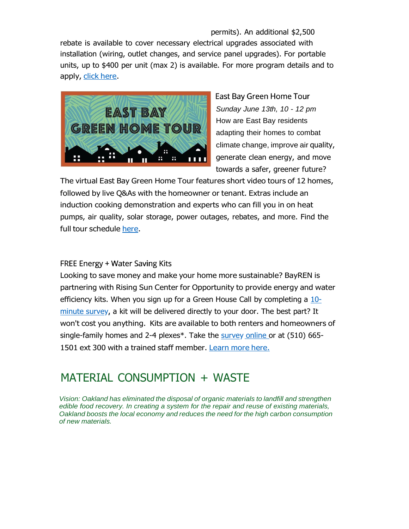permits). An additional \$2,500 rebate is available to cover necessary electrical upgrades associated with installation (wiring, outlet changes, and service panel upgrades). For portable units, up to \$400 per unit (max 2) is available. For more program details and to apply, click [here.](https://oaklandca19202.lt.acemlna.com/Prod/link-tracker?notrack=1&redirectUrl=aHR0cCUzQSUyRiUyRmViY2Uub3JnJTJGY29tbWVyY2lhbC1raXRjaGVucw%3D%3D&sig=6h7RE6gwHUzJY1XoQjkcM5rbSrCkAbZQSNwjKZdKre1e&iat=1632344154&a=799335011&account=oaklandca19202%2Eactivehosted%2Ecom&email=LRRV6glqIfcVPcYsJBrMHi%2FZD%2BmsUFpJrc5fHf6IoVE%3D&s=bad97c655476f96a390a72c05a742011&i=841A834A11A13145)



East Bay Green Home Tour *Sunday June 13th, 10 - 12 pm* How are East Bay residents adapting their homes to combat climate change, improve air quality, generate clean energy, and move towards a safer, greener future?

The virtual East Bay Green Home Tour features short video tours of 12 homes, followed by live Q&As with the homeowner or tenant. Extras include an induction cooking demonstration and experts who can fill you in on heat pumps, air quality, solar storage, power outages, rebates, and more. Find the full tour schedule [here.](https://oaklandca19202.lt.acemlna.com/Prod/link-tracker?notrack=1&redirectUrl=aHR0cHMlM0ElMkYlMkZ1cmxkZWZlbnNlLnByb29mcG9pbnQuY29tJTJGdjIlMkZ1cmwlM0Z1JTNEaHR0cHMtM0FfX3d3dy5lYXN0YmF5Z3JlZW5ob21lLmNvbV8tM0Z1dG0tNUZtZWRpdW0tM0RlbWFpbC0yNnV0bS01RnNvdXJjZS0zRGdvdmRlbGl2ZXJ5JTI2ZCUzRER3TUZhUSUyNmMlM0Q2WmJvS2RKelI4blpPcXdCamhQbkN3JTI2ciUzRGpOMlc3ckE4VjRKUjN6MkdGMnhpN0FUVmk2U3VfRmstVFd1b2RRMzduU1ElMjZtJTNEWkF3bVZNVl9oS2FyOVNJRS1QeE1TVkptcEMtQTRseXVUZDBVYjY3NjJhWSUyNnMlM0RlQTIzV0tkZVJ5elE2MjAyMUJadGl6U2NZajBTRDNDVUZvbzFpSE1RMFZFJTI2ZSUzRA%3D%3D&sig=JCNS8UzPaipL8vGQjBBPBWME6pAikxx8HXohAHyeSrdo&iat=1632344154&a=799335011&account=oaklandca19202%2Eactivehosted%2Ecom&email=LRRV6glqIfcVPcYsJBrMHi%2FZD%2BmsUFpJrc5fHf6IoVE%3D&s=bad97c655476f96a390a72c05a742011&i=841A834A11A13210)

**FREE Energy + Water Saving Kits** 

Looking to save money and make your home more sustainable? BayREN is partnering with Rising Sun Center for Opportunity to provide energy and water [efficiency kits. When you sign](https://oaklandca19202.lt.acemlna.com/Prod/link-tracker?notrack=1&redirectUrl=aHR0cHMlM0ElMkYlMkZkb2NzLmdvb2dsZS5jb20lMkZmb3JtcyUyRmQlMkZlJTJGMUZBSXBRTFNma2ZKSWNyNmFCWW8tU0FZaTdtREprYkNJWldILVJhcENROEU5ZEdGbXpUb3pmWWclMkZ2aWV3Zm9ybQ%3D%3D&sig=3UuykbF1mnxGQ6GvR5r5m6SvgedKBZrHa8HpWBb9dZQ7&iat=1632344154&a=799335011&account=oaklandca19202%2Eactivehosted%2Ecom&email=LRRV6glqIfcVPcYsJBrMHi%2FZD%2BmsUFpJrc5fHf6IoVE%3D&s=bad97c655476f96a390a72c05a742011&i=841A834A11A13282) up for a Green House Call by completing a 10 [minute survey, a kit will be delivered directly to your door. The best part? It](https://oaklandca19202.lt.acemlna.com/Prod/link-tracker?notrack=1&redirectUrl=aHR0cHMlM0ElMkYlMkZkb2NzLmdvb2dsZS5jb20lMkZmb3JtcyUyRmQlMkZlJTJGMUZBSXBRTFNma2ZKSWNyNmFCWW8tU0FZaTdtREprYkNJWldILVJhcENROEU5ZEdGbXpUb3pmWWclMkZ2aWV3Zm9ybQ%3D%3D&sig=3UuykbF1mnxGQ6GvR5r5m6SvgedKBZrHa8HpWBb9dZQ7&iat=1632344154&a=799335011&account=oaklandca19202%2Eactivehosted%2Ecom&email=LRRV6glqIfcVPcYsJBrMHi%2FZD%2BmsUFpJrc5fHf6IoVE%3D&s=bad97c655476f96a390a72c05a742011&i=841A834A11A13282) won't cost you anything. Kits are available to both renters and homeowners of single-family homes and 2-4 plexes\*. Take the [survey online o](https://oaklandca19202.lt.acemlna.com/Prod/link-tracker?notrack=1&redirectUrl=aHR0cCUzQSUyRiUyRmJpdC5seSUyRkVFa2l0czIwMjE%3D&sig=BxEL7XjQkMDfNVx2SGzx5PDrCPsNgx899Wyjssc5Eege&iat=1632344154&a=799335011&account=oaklandca19202%2Eactivehosted%2Ecom&email=LRRV6glqIfcVPcYsJBrMHi%2FZD%2BmsUFpJrc5fHf6IoVE%3D&s=bad97c655476f96a390a72c05a742011&i=841A834A11A13101)r at (510) 665- 1501 ext 300 with a trained staff member. [Learn](https://oaklandca19202.lt.acemlna.com/Prod/link-tracker?notrack=1&redirectUrl=aHR0cHMlM0ElMkYlMkZyaXNpbmdzdW5vcHAub3JnJTJGcHJvZ3JhbXMlMkZnaGMlMkY%3D&sig=4d3JPPYVWHdH5bRPNXqixtFtGXmGcXScY6JtAQa1EVjf&iat=1632344154&a=799335011&account=oaklandca19202%2Eactivehosted%2Ecom&email=LRRV6glqIfcVPcYsJBrMHi%2FZD%2BmsUFpJrc5fHf6IoVE%3D&s=bad97c655476f96a390a72c05a742011&i=841A834A11A13102) more here.

### MATERIAL CONSUMPTION + WASTE

*Vision: Oakland has eliminated the disposal of organic materials to landfill and strengthen edible food recovery. In creating a system for the repair and reuse of existing materials, Oakland boosts the local economy and reduces the need for the high carbon consumption of new materials.*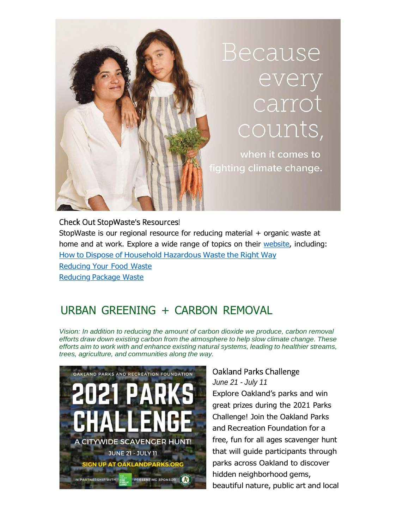

### **Check Out StopWaste's Resources!**

StopWaste is our regional resource for reducing material + organic waste at home and at work. Explore a wide range of topics on their [website,](https://oaklandca19202.lt.acemlna.com/Prod/link-tracker?notrack=1&redirectUrl=aHR0cHMlM0ElMkYlMkZ3d3cuc3RvcHdhc3RlLm9yZw%3D%3D&sig=FTJ2fW54ebn7c8WgNtEYVvnxhD146r1uiKGriJMXjFSZ&iat=1632344154&a=799335011&account=oaklandca19202%2Eactivehosted%2Ecom&email=LRRV6glqIfcVPcYsJBrMHi%2FZD%2BmsUFpJrc5fHf6IoVE%3D&s=bad97c655476f96a390a72c05a742011&i=841A834A11A13265) including: How to Dispose of [Household](https://oaklandca19202.lt.acemlna.com/Prod/link-tracker?notrack=1&redirectUrl=aHR0cHMlM0ElMkYlMkZ3d3cuc3RvcHdhc3RlLm9yZyUyRmF0LWhvbWUlMkZob3VzZWhvbGQtaGF6YXJkb3VzLXdhc3Rl&sig=J26RDUTQmMaChPnY9yev7GtTu2uCpMXSnj85BQAcBqfK&iat=1632344154&a=799335011&account=oaklandca19202%2Eactivehosted%2Ecom&email=LRRV6glqIfcVPcYsJBrMHi%2FZD%2BmsUFpJrc5fHf6IoVE%3D&s=bad97c655476f96a390a72c05a742011&i=841A834A11A13266) Hazardous Waste the Right Way [Reducing](https://oaklandca19202.lt.acemlna.com/Prod/link-tracker?notrack=1&redirectUrl=aHR0cHMlM0ElMkYlMkZ3d3cuc3RvcHdhc3RlLm9yZyUyRmF0LWhvbWUlMkZyZWR1Y2UtYW5kLXJldXNlJTJGcmVkdWNlLXdhc3RlZC1mb29kLWF0LWhvbWU%3D&sig=BQL6H6YZz51qC3dU6gjqx33MhsVJARcYvKJj6ymnQQRG&iat=1632344154&a=799335011&account=oaklandca19202%2Eactivehosted%2Ecom&email=LRRV6glqIfcVPcYsJBrMHi%2FZD%2BmsUFpJrc5fHf6IoVE%3D&s=bad97c655476f96a390a72c05a742011&i=841A834A11A13267) Your Food Waste Reducing [Package Waste](https://oaklandca19202.lt.acemlna.com/Prod/link-tracker?notrack=1&redirectUrl=aHR0cHMlM0ElMkYlMkZ3d3cuc3RvcHdhc3RlLm9yZyUyRmF0LWhvbWUlMkZyZWR1Y2UtYW5kLXJldXNlJTJGcmVkdWNlLXBhY2thZ2luZy13YXN0ZQ%3D%3D&sig=2J7kyRR58orkZmrv8vUFLVZ6nyixB5bTXoYuZKYjSYJu&iat=1632344154&a=799335011&account=oaklandca19202%2Eactivehosted%2Ecom&email=LRRV6glqIfcVPcYsJBrMHi%2FZD%2BmsUFpJrc5fHf6IoVE%3D&s=bad97c655476f96a390a72c05a742011&i=841A834A11A13268)

# URBAN GREENING + CARBON REMOVAL

*Vision: In addition to reducing the amount of carbon dioxide we produce, carbon removal efforts draw down existing carbon from the atmosphere to help slow climate change. These efforts aim to work with and enhance existing natural systems, leading to healthier streams, trees, agriculture, and communities along the way.*



### Oakland Parks Challenge *June 21 - July 11*

Explore Oakland's parks and win great prizes during the 2021 Parks Challenge! Join the Oakland Parks and Recreation Foundation for a free, fun for all ages scavenger hunt that will guide participants through parks across Oakland to discover hidden neighborhood gems, beautiful nature, public art and local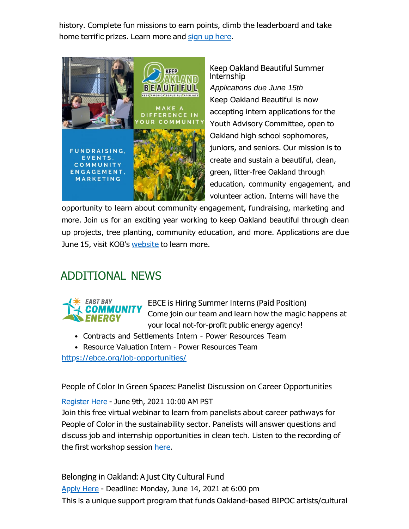history. Complete fun missions to earn points, climb the leaderboard and take home terrific prizes. Learn more and sign up [here.](https://oaklandca19202.lt.acemlna.com/Prod/link-tracker?notrack=1&redirectUrl=aHR0cHMlM0ElMkYlMkZ3d3cub2FrbGFuZHBhcmtzLm9yZyUyRjIwMjEtcGFya3MtY2hhbGxlbmdlJTJG&sig=2eJUJQEt8ku3BrGd6UR8yoxqcDt1DL6K5emTCMrBJj4A&iat=1632344154&a=799335011&account=oaklandca19202%2Eactivehosted%2Ecom&email=LRRV6glqIfcVPcYsJBrMHi%2FZD%2BmsUFpJrc5fHf6IoVE%3D&s=bad97c655476f96a390a72c05a742011&i=841A834A11A13146)



Keep Oakland Beautiful Summer Internship

*Applications due June 15th* Keep Oakland Beautiful is now accepting intern applications for the Youth Advisory Committee, open to Oakland high school sophomores, juniors, and seniors. Our mission is to create and sustain a beautiful, clean, green, litter-free Oakland through education, community engagement, and volunteer action. Interns will have the

opportunity to learn about community engagement, fundraising, marketing and more. Join us for an exciting year working to keep Oakland beautiful through clean up projects, tree planting, community education, and more. Applications are due June 15, visit KOB's [website](https://oaklandca19202.lt.acemlna.com/Prod/link-tracker?notrack=1&redirectUrl=aHR0cHMlM0ElMkYlMkZ3d3cua2VlcG9ha2xhbmRiZWF1dGlmdWwub3JnJTJGeW91dGgtYWR2aXNvcnktY29tbWl0dGVlLmh0bWw%3D&sig=GhWzR9q6amdJkpmjNbK4vFetLotZkL7FjLmA3pqFewTA&iat=1632344154&a=799335011&account=oaklandca19202%2Eactivehosted%2Ecom&email=LRRV6glqIfcVPcYsJBrMHi%2FZD%2BmsUFpJrc5fHf6IoVE%3D&s=bad97c655476f96a390a72c05a742011&i=841A834A11A13142) to learn more.

# ADDITIONAL NEWS



**EBCE is Hiring Summer Interns (Paid Position)** Come join our team and learn how the magic happens at your local not-for-profit public energy agency!

- Contracts and Settlements Intern Power Resources Team
- Resource Valuation Intern Power Resources Team

[https://ebce.org/job-opportunities/](https://oaklandca19202.lt.acemlna.com/Prod/link-tracker?notrack=1&redirectUrl=aHR0cHMlM0ElMkYlMkZ1cmxkZWZlbnNlLnByb29mcG9pbnQuY29tJTJGdjIlMkZ1cmwlM0Z1JTNEaHR0cHMtM0FfX2ViY2Uub3JnX2pvYi0yRG9wcG9ydHVuaXRpZXNfJTI2ZCUzRER3TUZhUSUyNmMlM0Q2WmJvS2RKelI4blpPcXdCamhQbkN3JTI2ciUzRGpOMlc3ckE4VjRKUjN6MkdGMnhpN0FUVmk2U3VfRmstVFd1b2RRMzduU1ElMjZtJTNEWkF3bVZNVl9oS2FyOVNJRS1QeE1TVkptcEMtQTRseXVUZDBVYjY3NjJhWSUyNnMlM0RKNjhTdkZpaWpvOHg2YUxUcW9VVTNiQmxSZXFPWjlza1FqSTlkaEYydG04JTI2ZSUzRA%3D%3D&sig=AGUmcVQEvUURxhGCJoQ87a6jh3DzX4XV7sryvFtwL1Hf&iat=1632344154&a=799335011&account=oaklandca19202%2Eactivehosted%2Ecom&email=LRRV6glqIfcVPcYsJBrMHi%2FZD%2BmsUFpJrc5fHf6IoVE%3D&s=bad97c655476f96a390a72c05a742011&i=841A834A11A13211)

People of Color In Green Spaces: Panelist Discussion on Career Opportunities

[Register](https://oaklandca19202.lt.acemlna.com/Prod/link-tracker?notrack=1&redirectUrl=aHR0cHMlM0ElMkYlMkZ1czAyd2ViLnpvb20udXMlMkZ3ZWJpbmFyJTJGcmVnaXN0ZXIlMkZXTl9MRUZoOHBNYVRuYTN3WTZmRVFQQ2N3&sig=Cy1J9gCF46cPfdSBMdmMn4Has6boUrQFtsu44VRHvdUg&iat=1632344154&a=799335011&account=oaklandca19202%2Eactivehosted%2Ecom&email=LRRV6glqIfcVPcYsJBrMHi%2FZD%2BmsUFpJrc5fHf6IoVE%3D&s=bad97c655476f96a390a72c05a742011&i=841A834A11A13269) Here - June 9th, 2021 10:00 AM PST

Join this free virtual webinar to learn from panelists about career pathways for People of Color in the sustainability sector. Panelists will answer questions and discuss job and internship opportunities in clean tech. Listen to the recording of the first workshop session [here.](https://oaklandca19202.lt.acemlna.com/Prod/link-tracker?notrack=1&redirectUrl=aHR0cHMlM0ElMkYlMkZ1cmxkZWZlbnNlLnByb29mcG9pbnQuY29tJTJGdjIlMkZ1cmwlM0Z1JTNEaHR0cHMtM0FfX3ZpbWVvLmNvbV81NDQ0MDU4NjIlMjZkJTNERHdNRmFRJTI2YyUzRDZaYm9LZEp6UjhuWk9xd0JqaFBuQ3clMjZyJTNEUmgxR0hlcDUydTdTSW5xa1I0WjFtZzZOLVJlN0Zyck9Hd2ZaelZxSm1JSSUyNm0lM0RZWDJobWlSRktoMGZzTDdwTW00WVBHNDdzUS1OMUw5eXBtOVItdjUyRHdjJTI2cyUzRHJKVmxhc2VDWlpkTTd3dDVEcHF2ZC1KSTRDR3dOSXZDRDRpcV9FanI1QkUlMjZlJTNE&sig=3deFd8kwbP34u5z1FHHDE9kRAHY3VRUrZ1C6A4D7at6T&iat=1632344154&a=799335011&account=oaklandca19202%2Eactivehosted%2Ecom&email=LRRV6glqIfcVPcYsJBrMHi%2FZD%2BmsUFpJrc5fHf6IoVE%3D&s=bad97c655476f96a390a72c05a742011&i=841A834A11A13270)

Belonging in Oakland: A Just City Cultural Fund [Apply](https://oaklandca19202.lt.acemlna.com/Prod/link-tracker?notrack=1&redirectUrl=aHR0cHMlM0ElMkYlMkZlYXN0YmF5Y2Yuc21hcHBseS5pbyUyRnByb2clMkZiZWxvbmdpbmdfaW5fb2FrbGFuZF9hX2p1c3RfY2l0eV9jdWx0dXJhbF9mdW5kX3llYXJfMl8yMDIxJTJG&sig=9TCmtkGY7niQVGavY7TnroWs5BFufLq9TTPBu316zjz2&iat=1632344154&a=799335011&account=oaklandca19202%2Eactivehosted%2Ecom&email=LRRV6glqIfcVPcYsJBrMHi%2FZD%2BmsUFpJrc5fHf6IoVE%3D&s=bad97c655476f96a390a72c05a742011&i=841A834A11A13147) Here - Deadline: Monday, June 14, 2021 at 6:00 pm This is a unique support program that funds Oakland-based BIPOC artists/cultural